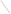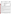

Office of Research and Development Washington, D.C. 20460



# **ENVIRONMENTAL TECHNOLOGY VERIFICATION PROGRAM VERIFICATION STATEMENT**

| TECHNOLOGY TYPE:            | POLYCHLORINATED BIPHENYL (PCB) FIELD ANALYTICAL<br><b>TECHNIQUES</b> |
|-----------------------------|----------------------------------------------------------------------|
| APPLICATION:                | <b>MEASUREMENT OF PCBs IN SOILS</b>                                  |
| <b>TECHNOLOGY NAME:</b>     | <b>PCB IMMUNOASSAY KIT</b>                                           |
| COMPANY:<br><b>ADDRESS:</b> | <b>HACH COMPANY</b><br><b>PO BOX 389</b><br>LOVELAND, CO 80539       |
| PHONE:                      | 1-800-227-4224                                                       |

The U.S. Environmental Protection Agency (EPA) has created a program to facilitate the deployment of innovative technologies through performance verification and information dissemination. The goal of the Environmental Technology Verification (ETV) Program is to further environmental protection by substantially accelerating the acceptance and use of improved and more cost effective technologies. The ETV Program is intended to assist and inform those involved in the design, distribution, permitting, and purchase of environmental technologies. This document summarizes the results of a demonstration of the Hach Company PCB immunoassay kit.

### **PROGRAM OPERATION**

The EPA, in partnership with recognized testing organizations, objectively and systematically evaluates the performance of innovative technologies. Together, with the full participation of the technology developer, they develop plans, conduct tests, collect and analyze data, and report findings. The evaluations are conducted according to a rigorous demonstration plan and established protocols for quality assurance. EPA's National Exposure Research Laboratory, which conducts demonstrations of field characterization and monitoring technologies, with the support of the U.S. Department of Energy's Environmental Management program, selected Oak Ridge National Laboratory (ORNL) as the testing organization for the performance verification of polychlorinated biphenyl (PCB) field analytical techniques.

### **DEMONSTRATION DESCRIPTION**

In July 1997, the performance of six PCB field analytical techniques was determined under field conditions. Each technology was independently evaluated by comparing field analysis results to those obtained using approved reference methods. Performance evaluation (PE) samples were also used to independently assess the accuracy and comparability of each technology.

The demonstration was designed to detect and measure PCBs in soil. The demonstration was conducted at ORNL in Oak Ridge, Tennessee, from July 22 through July 29, 1997. The study was conducted under two environmental conditions. The first site was outdoors with naturally fluctuating temperatures and relative humidity conditions. The second site was inside a controlled environmental chamber, with generally cooler temperature and lower relative humidities. Multiple soil types, collected from sites in Ohio, Kentucky, and Tennessee, were analyzed in this study. The results of the soil analyses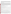conducted under field conditions by the technology were compared with results from analyses of homogeneous replicate samples conducted by conventional EPA SW-846 methodology in an approved reference laboratory. Details of the demonstration, including a data summary and discussion of results, may be found in the report entitled *Environmental Technology Verification Report: Immunoassay Kit, Hach Company PCB Immunoassay Kit*, EPA/600/R-98/110.

### **TECHNOLOGY DESCRIPTION**

The PCB immunoassay kit utilizes analyte-specific antibodies attached to the inside of plastic tubes to bind and remove PCBs selectively from complex sample matrices. The kit is a semi-quantitative screening method that indicates whether the PCB concentration is above or below the specified threshold values (1 ppm and/or 10 ppm). The kit has most applicability to establishing cleanup guidelines. To initiate the test, the sample (that may contain PCBs) and a reagent containing enzyme conjugate are added to the antibody-coated tubes. An enzyme conjugate consists of an enzyme to which an analyte is attached. Enzyme conjugates and PCBs competitively bind to the antibodies attached to the inside of the tube. Samples with higher levels of PCBs will have more antibody sites occupied by the analyte and fewer occupied by the enzyme conjugate molecules. After incubation, the sample and unbound enzyme conjugate are washed from the tube and color development reagents are added. The concentration of PCBs in a sample is determined by comparing the developed color intensity to that of a PCB standard. The PCB concentration is inversely proportional to the color development, where the lighter the color, the higher the sample PCB concentration.

## **VERIFICATION OF PERFORMANCE**

The following performance characteristics of the PCB immunoassay kit were observed:

*Throughput:* Throughput was 10 to 13 samples/hour under the outdoor conditions, and 7 to 10 samples/hour under the chamber conditions. These rates included preparation and analysis.

*Ease of use:* Two operators analyzed samples during the demonstration, but the technology can be run by a single operator. Minimal training (2 hours) is required to operate the PCB immunoassay kit, provided that the user has a basic knowledge of chemistry and lab techniques.

*Completeness:* The PCB immunoassay kit generated results for all 208 PCB samples for a completeness of 100%.

*Blank results:* PCBs were detected and reported as 1 to 10 ppm in three of the eight blank soil samples analyzed. Therefore, the percentage of false positive results was 38%. The PCB immunoassay kit reported 2% (4 of 192 samples) false negative results.

*Precision:* The overall precision, based on the percentage of combined sample sets where all four replicates were reported as the same interval, was 100% for the PE soils and 68% for the environmental soils.

*Accuracy:* Accuracy was assessed using PE soil samples. Accuracy, defined as the percentage of PCB immunoassay kit results that agreed with the accepted concentrations, was 90%, while the percentage that was biased high or low was 4 and 6%, respectively. All of the biased low results were at concentrations near the 10-ppm threshold value.

*Comparability:* Comparability, like accuracy, was defined as the percentage of samples that agreed with, was above (i.e., biased high), or was below (i.e., biased low) the reference laboratory results. The percentage of PE and environmental soil samples which agreed with the reference laboratory results was 85%, while the percentage that was biased high or low was 7 and 9%, respectively. In nearly all cases where the test kit result disagreed with the reference laboratory result, the concentration was near one of the kit's threshold values of 0, 1, or 10 ppm.